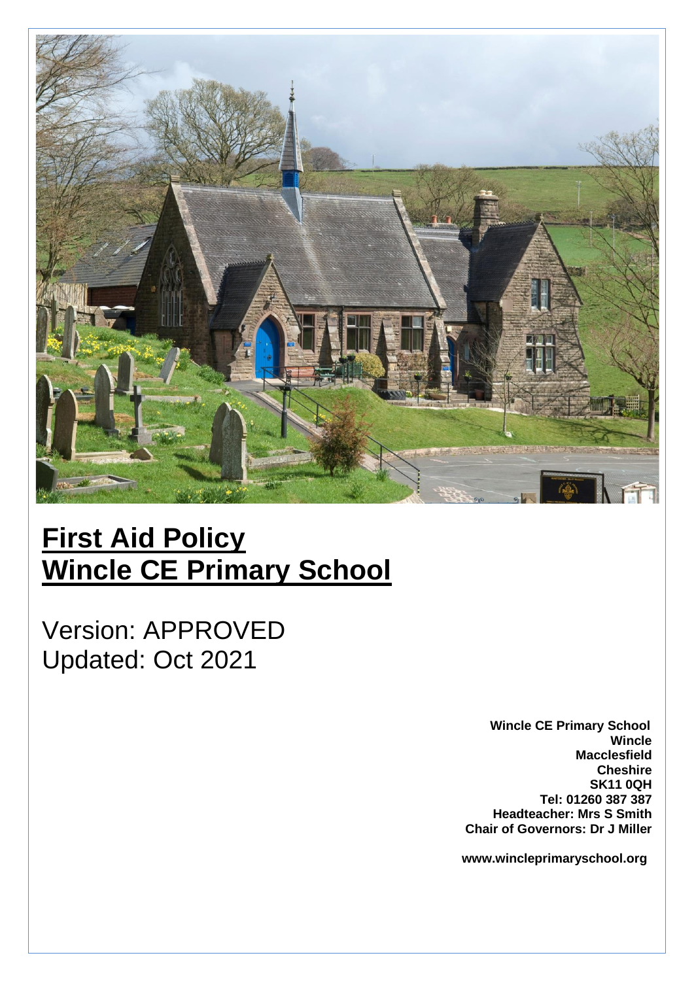

# **First Aid Policy Wincle CE Primary School**

Version: APPROVED Updated: Oct 2021

> **Wincle CE Primary School Wincle Macclesfield Cheshire SK11 0QH Tel: 01260 387 387 Headteacher: Mrs S Smith Chair of Governors: Dr J Miller**

 **www.wincleprimaryschool.org**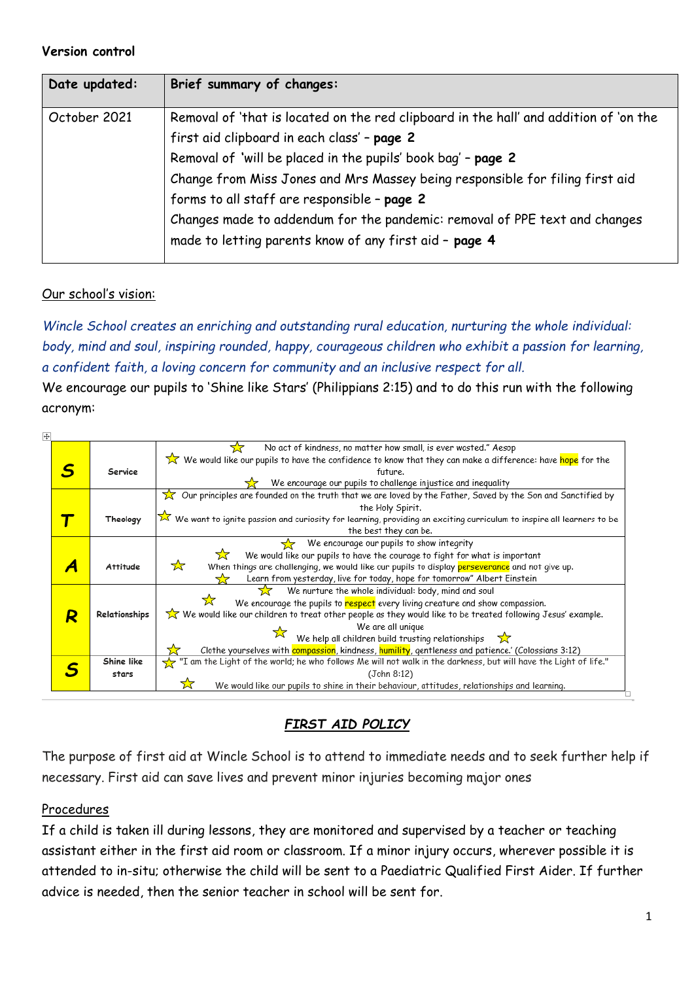#### **Version control**

| Date updated: | Brief summary of changes:                                                                                                                                                                                                                                                                                                                                                                                                                                                   |
|---------------|-----------------------------------------------------------------------------------------------------------------------------------------------------------------------------------------------------------------------------------------------------------------------------------------------------------------------------------------------------------------------------------------------------------------------------------------------------------------------------|
| October 2021  | Removal of 'that is located on the red clipboard in the hall' and addition of 'on the<br>first aid clipboard in each class' - page 2<br>Removal of 'will be placed in the pupils' book bag' - page 2<br>Change from Miss Jones and Mrs Massey being responsible for filing first aid<br>forms to all staff are responsible - page 2<br>Changes made to addendum for the pandemic: removal of PPE text and changes<br>made to letting parents know of any first aid - page 4 |
|               |                                                                                                                                                                                                                                                                                                                                                                                                                                                                             |

## Our school's vision:

*Wincle School creates an enriching and outstanding rural education, nurturing the whole individual: body, mind and soul, inspiring rounded, happy, courageous children who exhibit a passion for learning, a confident faith, a loving concern for community and an inclusive respect for all.*

We encourage our pupils to 'Shine like Stars' (Philippians 2:15) and to do this run with the following acronym:

| No act of kindness, no matter how small, is ever wasted." Aesop<br>We would like our pupils to have the confidence to know that they can make a difference: have hope for the<br>Service<br>future.<br>We encourage our pupils to challenge injustice and inequality<br>$\chi$ Our principles are founded on the truth that we are loved by the Father, Saved by the Son and Sanctified by<br>the Holy Spirit.<br>We want to ignite passion and curiosity for learning, providing an exciting curriculum to inspire all learners to be<br>Theology<br>the best they can be.<br>We encourage our pupils to show integrity<br>We would like our pupils to have the courage to fight for what is important<br>☆<br>When things are challenging, we would like our pupils to display perseverance and not give up.<br><b>Attitude</b><br>Learn from yesterday, live for today, hope for tomorrow" Albert Einstein<br>53<br>We nurture the whole individual: body, mind and soul<br>We encourage the pupils to respect every living creature and show compassion.<br>We would like our children to treat other people as they would like to be treated following Jesus' example.<br>Relationships<br>R<br>We are all unique<br>We help all children build trusting relationships $\sum$<br>Clothe yourselves with compassion, kindness, humility, gentleness and patience.' (Colossians 3:12)<br>Shine like<br>T am the Light of the world; he who follows Me will not walk in the darkness, but will have the Light of life." حكم<br>(John 8:12)<br>stars | ⊕ |  |                                                                                              |
|-------------------------------------------------------------------------------------------------------------------------------------------------------------------------------------------------------------------------------------------------------------------------------------------------------------------------------------------------------------------------------------------------------------------------------------------------------------------------------------------------------------------------------------------------------------------------------------------------------------------------------------------------------------------------------------------------------------------------------------------------------------------------------------------------------------------------------------------------------------------------------------------------------------------------------------------------------------------------------------------------------------------------------------------------------------------------------------------------------------------------------------------------------------------------------------------------------------------------------------------------------------------------------------------------------------------------------------------------------------------------------------------------------------------------------------------------------------------------------------------------------------------------------------------------------|---|--|----------------------------------------------------------------------------------------------|
|                                                                                                                                                                                                                                                                                                                                                                                                                                                                                                                                                                                                                                                                                                                                                                                                                                                                                                                                                                                                                                                                                                                                                                                                                                                                                                                                                                                                                                                                                                                                                       |   |  |                                                                                              |
|                                                                                                                                                                                                                                                                                                                                                                                                                                                                                                                                                                                                                                                                                                                                                                                                                                                                                                                                                                                                                                                                                                                                                                                                                                                                                                                                                                                                                                                                                                                                                       |   |  |                                                                                              |
|                                                                                                                                                                                                                                                                                                                                                                                                                                                                                                                                                                                                                                                                                                                                                                                                                                                                                                                                                                                                                                                                                                                                                                                                                                                                                                                                                                                                                                                                                                                                                       |   |  |                                                                                              |
|                                                                                                                                                                                                                                                                                                                                                                                                                                                                                                                                                                                                                                                                                                                                                                                                                                                                                                                                                                                                                                                                                                                                                                                                                                                                                                                                                                                                                                                                                                                                                       |   |  |                                                                                              |
|                                                                                                                                                                                                                                                                                                                                                                                                                                                                                                                                                                                                                                                                                                                                                                                                                                                                                                                                                                                                                                                                                                                                                                                                                                                                                                                                                                                                                                                                                                                                                       |   |  |                                                                                              |
|                                                                                                                                                                                                                                                                                                                                                                                                                                                                                                                                                                                                                                                                                                                                                                                                                                                                                                                                                                                                                                                                                                                                                                                                                                                                                                                                                                                                                                                                                                                                                       |   |  |                                                                                              |
|                                                                                                                                                                                                                                                                                                                                                                                                                                                                                                                                                                                                                                                                                                                                                                                                                                                                                                                                                                                                                                                                                                                                                                                                                                                                                                                                                                                                                                                                                                                                                       |   |  |                                                                                              |
|                                                                                                                                                                                                                                                                                                                                                                                                                                                                                                                                                                                                                                                                                                                                                                                                                                                                                                                                                                                                                                                                                                                                                                                                                                                                                                                                                                                                                                                                                                                                                       |   |  |                                                                                              |
|                                                                                                                                                                                                                                                                                                                                                                                                                                                                                                                                                                                                                                                                                                                                                                                                                                                                                                                                                                                                                                                                                                                                                                                                                                                                                                                                                                                                                                                                                                                                                       |   |  |                                                                                              |
|                                                                                                                                                                                                                                                                                                                                                                                                                                                                                                                                                                                                                                                                                                                                                                                                                                                                                                                                                                                                                                                                                                                                                                                                                                                                                                                                                                                                                                                                                                                                                       |   |  |                                                                                              |
|                                                                                                                                                                                                                                                                                                                                                                                                                                                                                                                                                                                                                                                                                                                                                                                                                                                                                                                                                                                                                                                                                                                                                                                                                                                                                                                                                                                                                                                                                                                                                       |   |  |                                                                                              |
|                                                                                                                                                                                                                                                                                                                                                                                                                                                                                                                                                                                                                                                                                                                                                                                                                                                                                                                                                                                                                                                                                                                                                                                                                                                                                                                                                                                                                                                                                                                                                       |   |  |                                                                                              |
|                                                                                                                                                                                                                                                                                                                                                                                                                                                                                                                                                                                                                                                                                                                                                                                                                                                                                                                                                                                                                                                                                                                                                                                                                                                                                                                                                                                                                                                                                                                                                       |   |  |                                                                                              |
|                                                                                                                                                                                                                                                                                                                                                                                                                                                                                                                                                                                                                                                                                                                                                                                                                                                                                                                                                                                                                                                                                                                                                                                                                                                                                                                                                                                                                                                                                                                                                       |   |  |                                                                                              |
|                                                                                                                                                                                                                                                                                                                                                                                                                                                                                                                                                                                                                                                                                                                                                                                                                                                                                                                                                                                                                                                                                                                                                                                                                                                                                                                                                                                                                                                                                                                                                       |   |  |                                                                                              |
|                                                                                                                                                                                                                                                                                                                                                                                                                                                                                                                                                                                                                                                                                                                                                                                                                                                                                                                                                                                                                                                                                                                                                                                                                                                                                                                                                                                                                                                                                                                                                       |   |  |                                                                                              |
|                                                                                                                                                                                                                                                                                                                                                                                                                                                                                                                                                                                                                                                                                                                                                                                                                                                                                                                                                                                                                                                                                                                                                                                                                                                                                                                                                                                                                                                                                                                                                       |   |  |                                                                                              |
|                                                                                                                                                                                                                                                                                                                                                                                                                                                                                                                                                                                                                                                                                                                                                                                                                                                                                                                                                                                                                                                                                                                                                                                                                                                                                                                                                                                                                                                                                                                                                       |   |  |                                                                                              |
|                                                                                                                                                                                                                                                                                                                                                                                                                                                                                                                                                                                                                                                                                                                                                                                                                                                                                                                                                                                                                                                                                                                                                                                                                                                                                                                                                                                                                                                                                                                                                       |   |  |                                                                                              |
|                                                                                                                                                                                                                                                                                                                                                                                                                                                                                                                                                                                                                                                                                                                                                                                                                                                                                                                                                                                                                                                                                                                                                                                                                                                                                                                                                                                                                                                                                                                                                       |   |  |                                                                                              |
|                                                                                                                                                                                                                                                                                                                                                                                                                                                                                                                                                                                                                                                                                                                                                                                                                                                                                                                                                                                                                                                                                                                                                                                                                                                                                                                                                                                                                                                                                                                                                       |   |  | We would like our pupils to shine in their behaviour, attitudes, relationships and learning. |

*FIRST AID POLICY*

The purpose of first aid at Wincle School is to attend to immediate needs and to seek further help if necessary. First aid can save lives and prevent minor injuries becoming major ones

#### Procedures

If a child is taken ill during lessons, they are monitored and supervised by a teacher or teaching assistant either in the first aid room or classroom. If a minor injury occurs, wherever possible it is attended to in-situ; otherwise the child will be sent to a Paediatric Qualified First Aider. If further advice is needed, then the senior teacher in school will be sent for.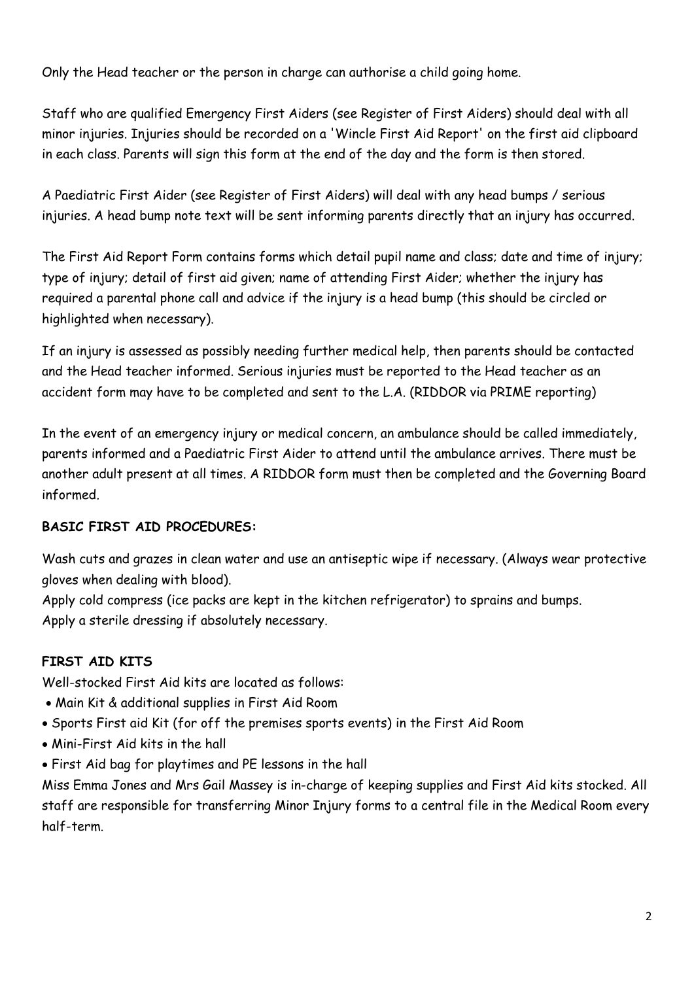Only the Head teacher or the person in charge can authorise a child going home.

Staff who are qualified Emergency First Aiders (see Register of First Aiders) should deal with all minor injuries. Injuries should be recorded on a 'Wincle First Aid Report' on the first aid clipboard in each class. Parents will sign this form at the end of the day and the form is then stored.

A Paediatric First Aider (see Register of First Aiders) will deal with any head bumps / serious injuries. A head bump note text will be sent informing parents directly that an injury has occurred.

The First Aid Report Form contains forms which detail pupil name and class; date and time of injury; type of injury; detail of first aid given; name of attending First Aider; whether the injury has required a parental phone call and advice if the injury is a head bump (this should be circled or highlighted when necessary).

If an injury is assessed as possibly needing further medical help, then parents should be contacted and the Head teacher informed. Serious injuries must be reported to the Head teacher as an accident form may have to be completed and sent to the L.A. (RIDDOR via PRIME reporting)

In the event of an emergency injury or medical concern, an ambulance should be called immediately, parents informed and a Paediatric First Aider to attend until the ambulance arrives. There must be another adult present at all times. A RIDDOR form must then be completed and the Governing Board informed.

# **BASIC FIRST AID PROCEDURES:**

Wash cuts and grazes in clean water and use an antiseptic wipe if necessary. (Always wear protective gloves when dealing with blood).

Apply cold compress (ice packs are kept in the kitchen refrigerator) to sprains and bumps. Apply a sterile dressing if absolutely necessary.

# **FIRST AID KITS**

Well-stocked First Aid kits are located as follows:

- Main Kit & additional supplies in First Aid Room
- Sports First aid Kit (for off the premises sports events) in the First Aid Room
- Mini-First Aid kits in the hall
- First Aid bag for playtimes and PE lessons in the hall

Miss Emma Jones and Mrs Gail Massey is in-charge of keeping supplies and First Aid kits stocked. All staff are responsible for transferring Minor Injury forms to a central file in the Medical Room every half-term.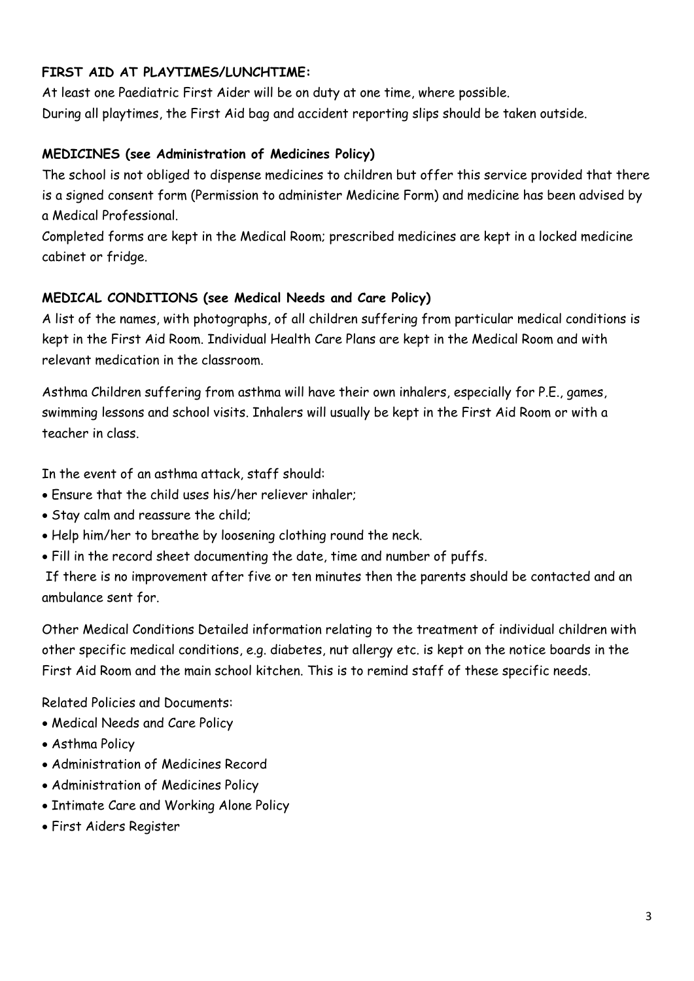# **FIRST AID AT PLAYTIMES/LUNCHTIME:**

At least one Paediatric First Aider will be on duty at one time, where possible. During all playtimes, the First Aid bag and accident reporting slips should be taken outside.

# **MEDICINES (see Administration of Medicines Policy)**

The school is not obliged to dispense medicines to children but offer this service provided that there is a signed consent form (Permission to administer Medicine Form) and medicine has been advised by a Medical Professional.

Completed forms are kept in the Medical Room; prescribed medicines are kept in a locked medicine cabinet or fridge.

## **MEDICAL CONDITIONS (see Medical Needs and Care Policy)**

A list of the names, with photographs, of all children suffering from particular medical conditions is kept in the First Aid Room. Individual Health Care Plans are kept in the Medical Room and with relevant medication in the classroom.

Asthma Children suffering from asthma will have their own inhalers, especially for P.E., games, swimming lessons and school visits. Inhalers will usually be kept in the First Aid Room or with a teacher in class.

In the event of an asthma attack, staff should:

- Ensure that the child uses his/her reliever inhaler;
- Stay calm and reassure the child;
- Help him/her to breathe by loosening clothing round the neck.
- Fill in the record sheet documenting the date, time and number of puffs.

If there is no improvement after five or ten minutes then the parents should be contacted and an ambulance sent for.

Other Medical Conditions Detailed information relating to the treatment of individual children with other specific medical conditions, e.g. diabetes, nut allergy etc. is kept on the notice boards in the First Aid Room and the main school kitchen. This is to remind staff of these specific needs.

Related Policies and Documents:

- Medical Needs and Care Policy
- Asthma Policy
- Administration of Medicines Record
- Administration of Medicines Policy
- Intimate Care and Working Alone Policy
- First Aiders Register